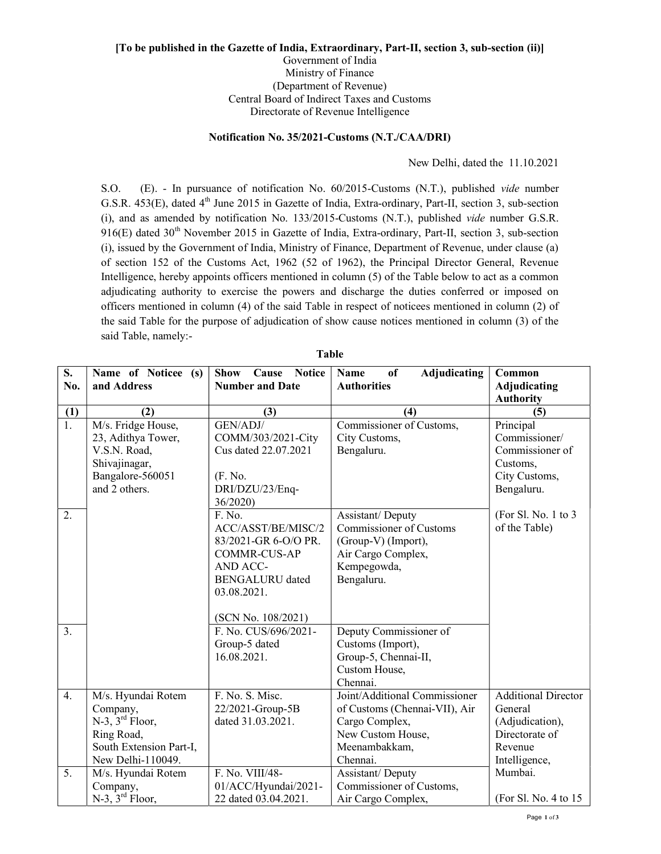## [To be published in the Gazette of India, Extraordinary, Part-II, section 3, sub-section (ii)] Government of India Ministry of Finance (Department of Revenue) Central Board of Indirect Taxes and Customs Directorate of Revenue Intelligence

## Notification No. 35/2021-Customs (N.T./CAA/DRI)

New Delhi, dated the 11.10.2021

S.O. (E). - In pursuance of notification No. 60/2015-Customs (N.T.), published vide number G.S.R. 453(E), dated 4<sup>th</sup> June 2015 in Gazette of India, Extra-ordinary, Part-II, section 3, sub-section (i), and as amended by notification No. 133/2015-Customs (N.T.), published vide number G.S.R. 916(E) dated 30<sup>th</sup> November 2015 in Gazette of India, Extra-ordinary, Part-II, section 3, sub-section (i), issued by the Government of India, Ministry of Finance, Department of Revenue, under clause (a) of section 152 of the Customs Act, 1962 (52 of 1962), the Principal Director General, Revenue Intelligence, hereby appoints officers mentioned in column (5) of the Table below to act as a common adjudicating authority to exercise the powers and discharge the duties conferred or imposed on officers mentioned in column (4) of the said Table in respect of noticees mentioned in column (2) of the said Table for the purpose of adjudication of show cause notices mentioned in column (3) of the said Table, namely:-

| S.               | Name of Noticee (s)     | <b>Show</b><br><b>Cause</b> Notice | Name<br>of<br>Adjudicating     | Common                     |
|------------------|-------------------------|------------------------------------|--------------------------------|----------------------------|
| No.              | and Address             | <b>Number and Date</b>             | <b>Authorities</b>             | <b>Adjudicating</b>        |
|                  |                         |                                    |                                | <b>Authority</b>           |
| (1)              | (2)                     | (3)                                | (4)                            | (5)                        |
| $\overline{1}$ . | M/s. Fridge House,      | GEN/ADJ/                           | Commissioner of Customs,       | Principal                  |
|                  | 23, Adithya Tower,      | COMM/303/2021-City                 | City Customs,                  | Commissioner/              |
|                  | V.S.N. Road,            | Cus dated 22.07.2021               | Bengaluru.                     | Commissioner of            |
|                  | Shivajinagar,           |                                    |                                | Customs,                   |
|                  | Bangalore-560051        | (F. No.                            |                                | City Customs,              |
|                  | and 2 others.           | DRI/DZU/23/Enq-                    |                                | Bengaluru.                 |
|                  |                         | 36/2020)                           |                                |                            |
| 2.               |                         | F. No.                             | Assistant/Deputy               | (For Sl. No. 1 to 3        |
|                  |                         | ACC/ASST/BE/MISC/2                 | <b>Commissioner of Customs</b> | of the Table)              |
|                  |                         | 83/2021-GR 6-O/O PR.               | (Group-V) (Import),            |                            |
|                  |                         | <b>COMMR-CUS-AP</b>                | Air Cargo Complex,             |                            |
|                  |                         | AND ACC-                           | Kempegowda,                    |                            |
|                  |                         | <b>BENGALURU</b> dated             | Bengaluru.                     |                            |
|                  |                         | 03.08.2021.                        |                                |                            |
|                  |                         |                                    |                                |                            |
|                  |                         | (SCN No. 108/2021)                 |                                |                            |
| $\overline{3}$ . |                         | F. No. CUS/696/2021-               | Deputy Commissioner of         |                            |
|                  |                         | Group-5 dated                      | Customs (Import),              |                            |
|                  |                         | 16.08.2021.                        | Group-5, Chennai-II,           |                            |
|                  |                         |                                    | Custom House,                  |                            |
|                  |                         |                                    | Chennai.                       |                            |
| $\overline{4}$ . | M/s. Hyundai Rotem      | F. No. S. Misc.                    | Joint/Additional Commissioner  | <b>Additional Director</b> |
|                  | Company,                | 22/2021-Group-5B                   | of Customs (Chennai-VII), Air  | General                    |
|                  | $N-3$ , $3^{rd}$ Floor, | dated 31.03.2021.                  | Cargo Complex,                 | (Adjudication),            |
|                  | Ring Road,              |                                    | New Custom House,              | Directorate of             |
|                  | South Extension Part-I, |                                    | Meenambakkam,                  | Revenue                    |
|                  | New Delhi-110049.       |                                    | Chennai.                       | Intelligence,              |
| $\overline{5}$ . | M/s. Hyundai Rotem      | F. No. VIII/48-                    | Assistant/Deputy               | Mumbai.                    |
|                  | Company,                | 01/ACC/Hyundai/2021-               | Commissioner of Customs,       |                            |
|                  | $N-3$ , $3^{rd}$ Floor, | 22 dated 03.04.2021.               | Air Cargo Complex,             | (For Sl. No. 4 to 15)      |

Table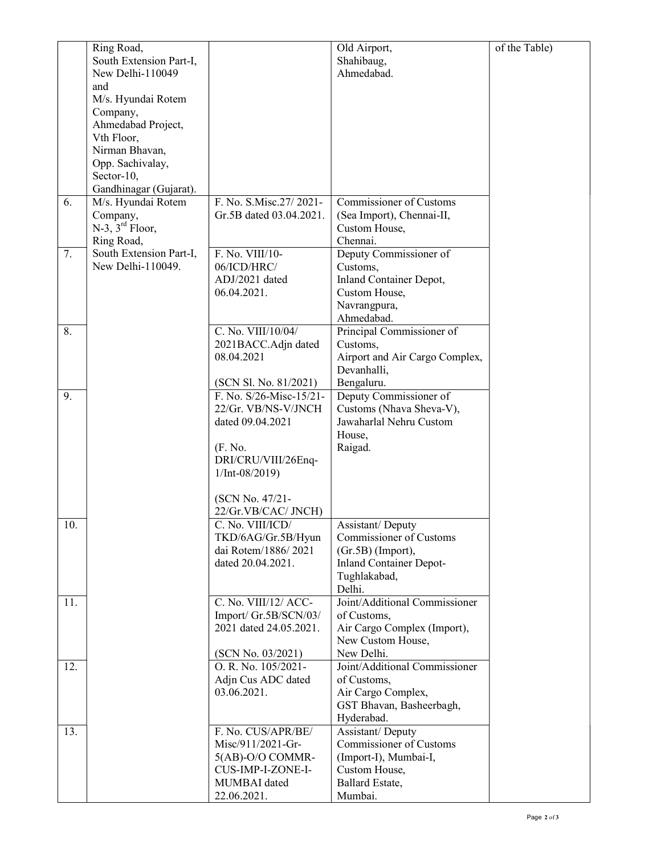|     | Ring Road,                       |                                       | Old Airport,                           | of the Table) |
|-----|----------------------------------|---------------------------------------|----------------------------------------|---------------|
|     | South Extension Part-I,          |                                       | Shahibaug,                             |               |
|     | New Delhi-110049                 |                                       | Ahmedabad.                             |               |
|     | and                              |                                       |                                        |               |
|     | M/s. Hyundai Rotem               |                                       |                                        |               |
|     | Company,                         |                                       |                                        |               |
|     | Ahmedabad Project,<br>Vth Floor, |                                       |                                        |               |
|     | Nirman Bhavan,                   |                                       |                                        |               |
|     | Opp. Sachivalay,                 |                                       |                                        |               |
|     | Sector-10,                       |                                       |                                        |               |
|     | Gandhinagar (Gujarat).           |                                       |                                        |               |
| 6.  | M/s. Hyundai Rotem               | F. No. S.Misc.27/2021-                | Commissioner of Customs                |               |
|     | Company,                         | Gr.5B dated 03.04.2021.               | (Sea Import), Chennai-II,              |               |
|     | $N-3$ , $3^{rd}$ Floor,          |                                       | Custom House,                          |               |
|     | Ring Road,                       |                                       | Chennai.                               |               |
| 7.  | South Extension Part-I,          | F. No. VIII/10-                       | Deputy Commissioner of                 |               |
|     | New Delhi-110049.                | 06/ICD/HRC/                           | Customs,                               |               |
|     |                                  | ADJ/2021 dated                        | Inland Container Depot,                |               |
|     |                                  | 06.04.2021.                           | Custom House,<br>Navrangpura,          |               |
|     |                                  |                                       | Ahmedabad.                             |               |
| 8.  |                                  | C. No. VIII/10/04/                    | Principal Commissioner of              |               |
|     |                                  | 2021BACC.Adjn dated                   | Customs,                               |               |
|     |                                  | 08.04.2021                            | Airport and Air Cargo Complex,         |               |
|     |                                  |                                       | Devanhalli,                            |               |
|     |                                  | (SCN Sl. No. 81/2021)                 | Bengaluru.                             |               |
| 9.  |                                  | F. No. S/26-Misc-15/21-               | Deputy Commissioner of                 |               |
|     |                                  | 22/Gr. VB/NS-V/JNCH                   | Customs (Nhava Sheva-V),               |               |
|     |                                  | dated 09.04.2021                      | Jawaharlal Nehru Custom                |               |
|     |                                  |                                       | House,                                 |               |
|     |                                  | (F. No.<br>DRI/CRU/VIII/26Enq-        | Raigad.                                |               |
|     |                                  | $1/Int-08/2019$                       |                                        |               |
|     |                                  |                                       |                                        |               |
|     |                                  | (SCN No. 47/21-                       |                                        |               |
|     |                                  | 22/Gr.VB/CAC/ JNCH)                   |                                        |               |
| 10. |                                  | C. No. VIII/ICD/                      | Assistant/Deputy                       |               |
|     |                                  | TKD/6AG/Gr.5B/Hyun                    | Commissioner of Customs                |               |
|     |                                  | dai Rotem/1886/2021                   | (Gr.5B) (Import),                      |               |
|     |                                  | dated 20.04.2021.                     | <b>Inland Container Depot-</b>         |               |
|     |                                  |                                       | Tughlakabad,<br>Delhi.                 |               |
| 11. |                                  | C. No. VIII/12/ ACC-                  | Joint/Additional Commissioner          |               |
|     |                                  | Import/ Gr.5B/SCN/03/                 | of Customs,                            |               |
|     |                                  | 2021 dated 24.05.2021.                | Air Cargo Complex (Import),            |               |
|     |                                  |                                       | New Custom House,                      |               |
|     |                                  | (SCN No. 03/2021)                     | New Delhi.                             |               |
| 12. |                                  | O. R. No. 105/2021-                   | Joint/Additional Commissioner          |               |
|     |                                  | Adjn Cus ADC dated                    | of Customs,                            |               |
|     |                                  | 03.06.2021.                           | Air Cargo Complex,                     |               |
|     |                                  |                                       | GST Bhavan, Basheerbagh,               |               |
|     |                                  |                                       | Hyderabad.                             |               |
| 13. |                                  | F. No. CUS/APR/BE/                    | Assistant/Deputy                       |               |
|     |                                  | Misc/911/2021-Gr-                     | Commissioner of Customs                |               |
|     |                                  | 5(AB)-O/O COMMR-<br>CUS-IMP-I-ZONE-I- | (Import-I), Mumbai-I,<br>Custom House, |               |
|     |                                  | MUMBAI dated                          | Ballard Estate,                        |               |
|     |                                  | 22.06.2021.                           | Mumbai.                                |               |
|     |                                  |                                       |                                        |               |